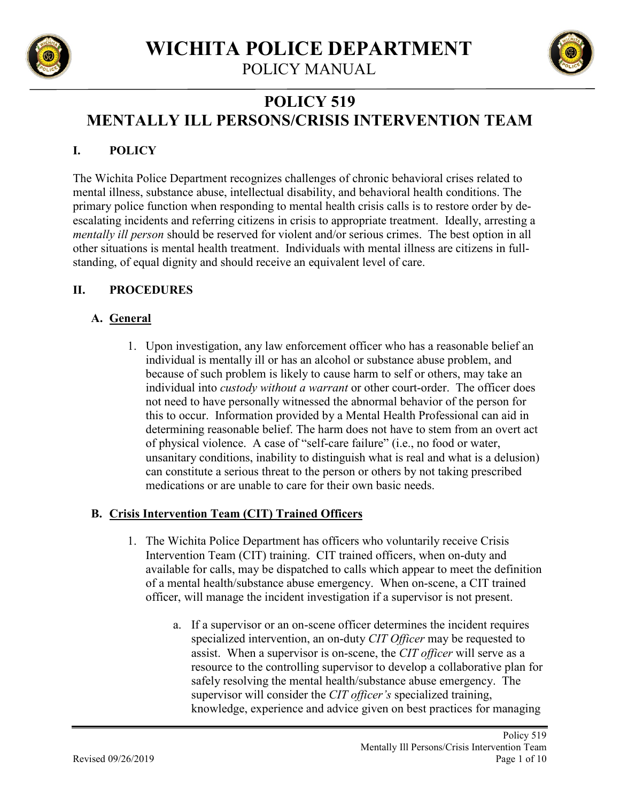

POLICY MANUAL



# **POLICY 519 MENTALLY ILL PERSONS/CRISIS INTERVENTION TEAM**

# **I. POLICY**

The Wichita Police Department recognizes challenges of chronic behavioral crises related to mental illness, substance abuse, intellectual disability, and behavioral health conditions. The primary police function when responding to mental health crisis calls is to restore order by deescalating incidents and referring citizens in crisis to appropriate treatment. Ideally, arresting a *mentally ill person* should be reserved for violent and/or serious crimes. The best option in all other situations is mental health treatment. Individuals with mental illness are citizens in fullstanding, of equal dignity and should receive an equivalent level of care.

# **II. PROCEDURES**

# **A. General**

1. Upon investigation, any law enforcement officer who has a reasonable belief an individual is mentally ill or has an alcohol or substance abuse problem, and because of such problem is likely to cause harm to self or others, may take an individual into *custody without a warrant* or other court-order. The officer does not need to have personally witnessed the abnormal behavior of the person for this to occur. Information provided by a Mental Health Professional can aid in determining reasonable belief. The harm does not have to stem from an overt act of physical violence. A case of "self-care failure" (i.e., no food or water, unsanitary conditions, inability to distinguish what is real and what is a delusion) can constitute a serious threat to the person or others by not taking prescribed medications or are unable to care for their own basic needs.

# **B. Crisis Intervention Team (CIT) Trained Officers**

- 1. The Wichita Police Department has officers who voluntarily receive Crisis Intervention Team (CIT) training. CIT trained officers, when on-duty and available for calls, may be dispatched to calls which appear to meet the definition of a mental health/substance abuse emergency. When on-scene, a CIT trained officer, will manage the incident investigation if a supervisor is not present.
	- a. If a supervisor or an on-scene officer determines the incident requires specialized intervention, an on-duty *CIT Officer* may be requested to assist. When a supervisor is on-scene, the *CIT officer* will serve as a resource to the controlling supervisor to develop a collaborative plan for safely resolving the mental health/substance abuse emergency. The supervisor will consider the *CIT officer's* specialized training, knowledge, experience and advice given on best practices for managing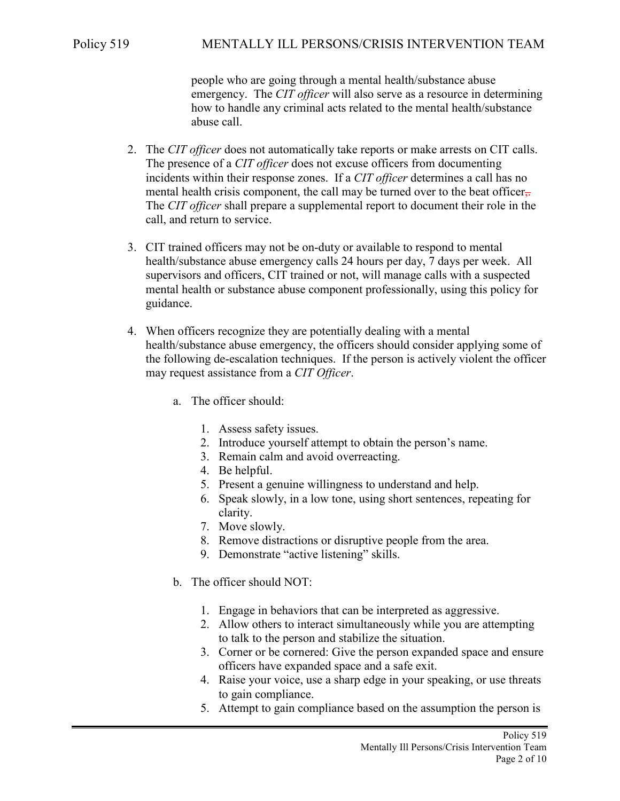people who are going through a mental health/substance abuse emergency. The *CIT officer* will also serve as a resource in determining how to handle any criminal acts related to the mental health/substance abuse call.

- 2. The *CIT officer* does not automatically take reports or make arrests on CIT calls. The presence of a *CIT officer* does not excuse officers from documenting incidents within their response zones. If a *CIT officer* determines a call has no mental health crisis component, the call may be turned over to the beat officer. The *CIT officer* shall prepare a supplemental report to document their role in the call, and return to service.
- 3. CIT trained officers may not be on-duty or available to respond to mental health/substance abuse emergency calls 24 hours per day, 7 days per week. All supervisors and officers, CIT trained or not, will manage calls with a suspected mental health or substance abuse component professionally, using this policy for guidance.
- 4. When officers recognize they are potentially dealing with a mental health/substance abuse emergency, the officers should consider applying some of the following de-escalation techniques. If the person is actively violent the officer may request assistance from a *CIT Officer*.
	- a. The officer should:
		- 1. Assess safety issues.
		- 2. Introduce yourself attempt to obtain the person's name.
		- 3. Remain calm and avoid overreacting.
		- 4. Be helpful.
		- 5. Present a genuine willingness to understand and help.
		- 6. Speak slowly, in a low tone, using short sentences, repeating for clarity.
		- 7. Move slowly.
		- 8. Remove distractions or disruptive people from the area.
		- 9. Demonstrate "active listening" skills.
	- b. The officer should NOT:
		- 1. Engage in behaviors that can be interpreted as aggressive.
		- 2. Allow others to interact simultaneously while you are attempting to talk to the person and stabilize the situation.
		- 3. Corner or be cornered: Give the person expanded space and ensure officers have expanded space and a safe exit.
		- 4. Raise your voice, use a sharp edge in your speaking, or use threats to gain compliance.
		- 5. Attempt to gain compliance based on the assumption the person is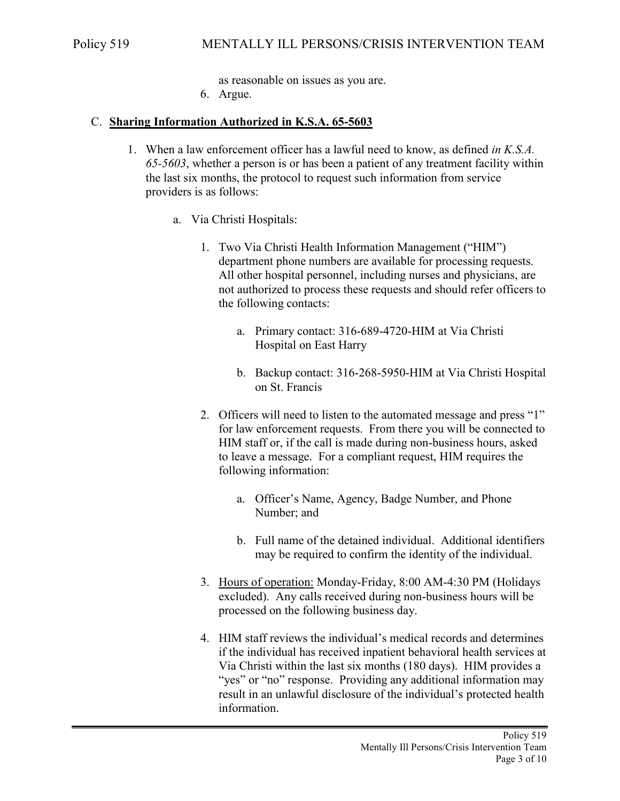as reasonable on issues as you are.

6. Argue.

## C. **Sharing Information Authorized in K.S.A. 65-5603**

- 1. When a law enforcement officer has a lawful need to know, as defined *in K.S.A. 65-5603*, whether a person is or has been a patient of any treatment facility within the last six months, the protocol to request such information from service providers is as follows:
	- a. Via Christi Hospitals:
		- 1. Two Via Christi Health Information Management ("HIM") department phone numbers are available for processing requests. All other hospital personnel, including nurses and physicians, are not authorized to process these requests and should refer officers to the following contacts:
			- a. Primary contact: 316-689-4720-HIM at Via Christi Hospital on East Harry
			- b. Backup contact: 316-268-5950-HIM at Via Christi Hospital on St. Francis
		- 2. Officers will need to listen to the automated message and press "1" for law enforcement requests. From there you will be connected to HIM staff or, if the call is made during non-business hours, asked to leave a message. For a compliant request, HIM requires the following information:
			- a. Officer's Name, Agency, Badge Number, and Phone Number; and
			- b. Full name of the detained individual. Additional identifiers may be required to confirm the identity of the individual.
		- 3. Hours of operation: Monday-Friday, 8:00 AM-4:30 PM (Holidays excluded). Any calls received during non-business hours will be processed on the following business day.
		- 4. HIM staff reviews the individual's medical records and determines if the individual has received inpatient behavioral health services at Via Christi within the last six months (180 days). HIM provides a "yes" or "no" response. Providing any additional information may result in an unlawful disclosure of the individual's protected health information.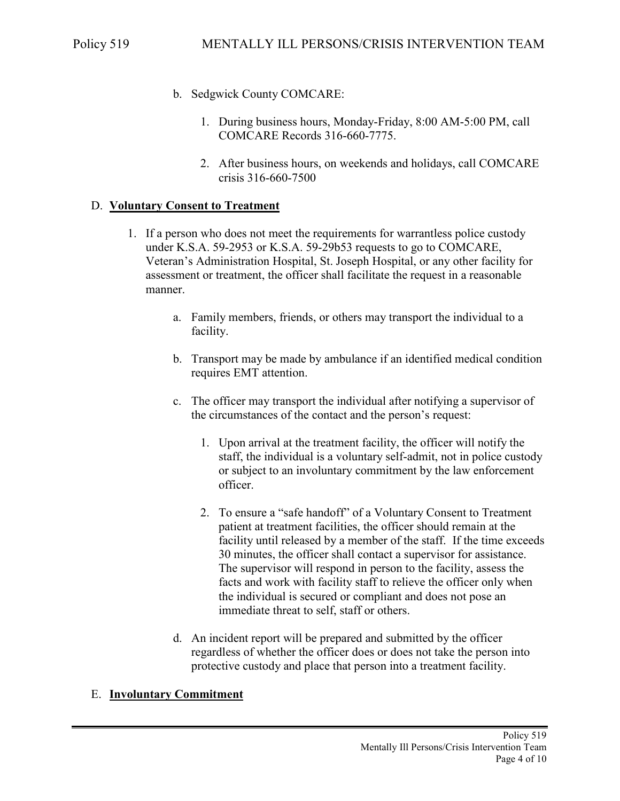- b. Sedgwick County COMCARE:
	- 1. During business hours, Monday-Friday, 8:00 AM-5:00 PM, call COMCARE Records 316-660-7775.
	- 2. After business hours, on weekends and holidays, call COMCARE crisis 316-660-7500

#### D. **Voluntary Consent to Treatment**

- 1. If a person who does not meet the requirements for warrantless police custody under K.S.A. 59-2953 or K.S.A. 59-29b53 requests to go to COMCARE, Veteran's Administration Hospital, St. Joseph Hospital, or any other facility for assessment or treatment, the officer shall facilitate the request in a reasonable manner.
	- a. Family members, friends, or others may transport the individual to a facility.
	- b. Transport may be made by ambulance if an identified medical condition requires EMT attention.
	- c. The officer may transport the individual after notifying a supervisor of the circumstances of the contact and the person's request:
		- 1. Upon arrival at the treatment facility, the officer will notify the staff, the individual is a voluntary self-admit, not in police custody or subject to an involuntary commitment by the law enforcement officer.
		- 2. To ensure a "safe handoff" of a Voluntary Consent to Treatment patient at treatment facilities, the officer should remain at the facility until released by a member of the staff. If the time exceeds 30 minutes, the officer shall contact a supervisor for assistance. The supervisor will respond in person to the facility, assess the facts and work with facility staff to relieve the officer only when the individual is secured or compliant and does not pose an immediate threat to self, staff or others.
	- d. An incident report will be prepared and submitted by the officer regardless of whether the officer does or does not take the person into protective custody and place that person into a treatment facility.

#### E. **Involuntary Commitment**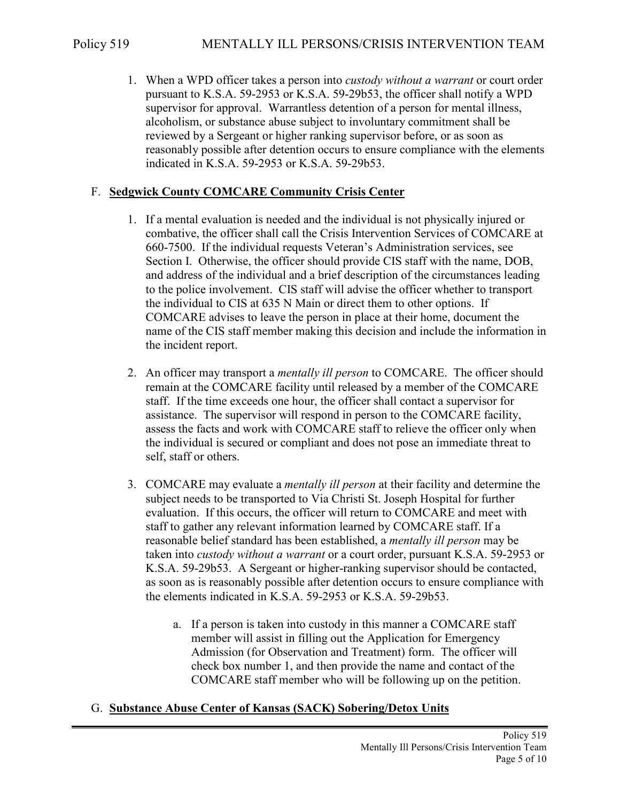1. When a WPD officer takes a person into *custody without a warrant* or court order pursuant to K.S.A. 59-2953 or K.S.A. 59-29b53, the officer shall notify a WPD supervisor for approval. Warrantless detention of a person for mental illness, alcoholism, or substance abuse subject to involuntary commitment shall be reviewed by a Sergeant or higher ranking supervisor before, or as soon as reasonably possible after detention occurs to ensure compliance with the elements indicated in K.S.A. 59-2953 or K.S.A. 59-29b53.

## F. **Sedgwick County COMCARE Community Crisis Center**

- 1. If a mental evaluation is needed and the individual is not physically injured or combative, the officer shall call the Crisis Intervention Services of COMCARE at 660-7500. If the individual requests Veteran's Administration services, see Section I. Otherwise, the officer should provide CIS staff with the name, DOB, and address of the individual and a brief description of the circumstances leading to the police involvement. CIS staff will advise the officer whether to transport the individual to CIS at 635 N Main or direct them to other options. If COMCARE advises to leave the person in place at their home, document the name of the CIS staff member making this decision and include the information in the incident report.
- 2. An officer may transport a *mentally ill person* to COMCARE. The officer should remain at the COMCARE facility until released by a member of the COMCARE staff. If the time exceeds one hour, the officer shall contact a supervisor for assistance. The supervisor will respond in person to the COMCARE facility, assess the facts and work with COMCARE staff to relieve the officer only when the individual is secured or compliant and does not pose an immediate threat to self, staff or others.
- 3. COMCARE may evaluate a *mentally ill person* at their facility and determine the subject needs to be transported to Via Christi St. Joseph Hospital for further evaluation. If this occurs, the officer will return to COMCARE and meet with staff to gather any relevant information learned by COMCARE staff. If a reasonable belief standard has been established, a *mentally ill person* may be taken into *custody without a warrant* or a court order, pursuant K.S.A. 59-2953 or K.S.A. 59-29b53. A Sergeant or higher-ranking supervisor should be contacted, as soon as is reasonably possible after detention occurs to ensure compliance with the elements indicated in K.S.A. 59-2953 or K.S.A. 59-29b53.
	- a. If a person is taken into custody in this manner a COMCARE staff member will assist in filling out the Application for Emergency Admission (for Observation and Treatment) form. The officer will check box number 1, and then provide the name and contact of the COMCARE staff member who will be following up on the petition.

## G. **Substance Abuse Center of Kansas (SACK) Sobering/Detox Units**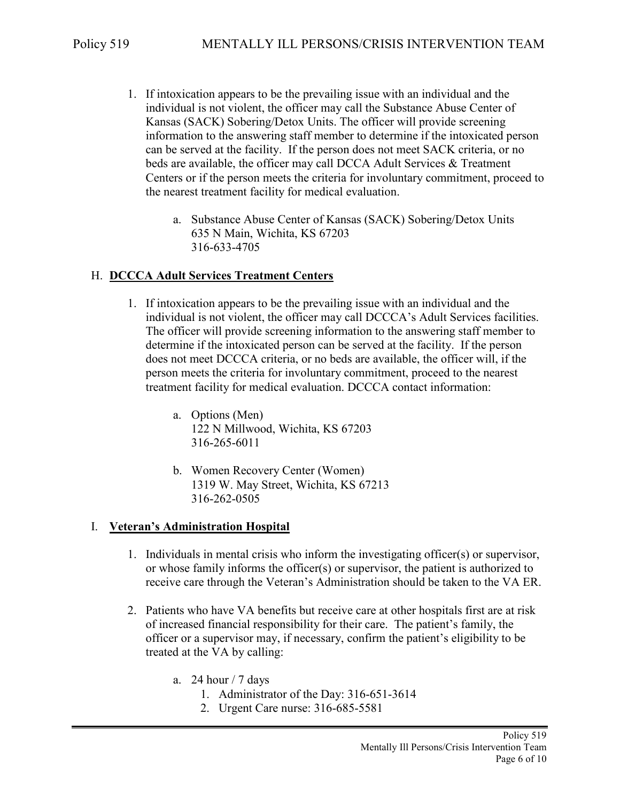- 1. If intoxication appears to be the prevailing issue with an individual and the individual is not violent, the officer may call the Substance Abuse Center of Kansas (SACK) Sobering/Detox Units. The officer will provide screening information to the answering staff member to determine if the intoxicated person can be served at the facility. If the person does not meet SACK criteria, or no beds are available, the officer may call DCCA Adult Services & Treatment Centers or if the person meets the criteria for involuntary commitment, proceed to the nearest treatment facility for medical evaluation.
	- a. Substance Abuse Center of Kansas (SACK) Sobering/Detox Units 635 N Main, Wichita, KS 67203 316-633-4705

#### H. **DCCCA Adult Services Treatment Centers**

- 1. If intoxication appears to be the prevailing issue with an individual and the individual is not violent, the officer may call DCCCA's Adult Services facilities. The officer will provide screening information to the answering staff member to determine if the intoxicated person can be served at the facility. If the person does not meet DCCCA criteria, or no beds are available, the officer will, if the person meets the criteria for involuntary commitment, proceed to the nearest treatment facility for medical evaluation. DCCCA contact information:
	- a. Options (Men) 122 N Millwood, Wichita, KS 67203 316-265-6011
	- b. Women Recovery Center (Women) 1319 W. May Street, Wichita, KS 67213 316-262-0505

#### I. **Veteran's Administration Hospital**

- 1. Individuals in mental crisis who inform the investigating officer(s) or supervisor, or whose family informs the officer(s) or supervisor, the patient is authorized to receive care through the Veteran's Administration should be taken to the VA ER.
- 2. Patients who have VA benefits but receive care at other hospitals first are at risk of increased financial responsibility for their care. The patient's family, the officer or a supervisor may, if necessary, confirm the patient's eligibility to be treated at the VA by calling:
	- a. 24 hour  $/ 7$  days
		- 1. Administrator of the Day: 316-651-3614
		- 2. Urgent Care nurse: 316-685-5581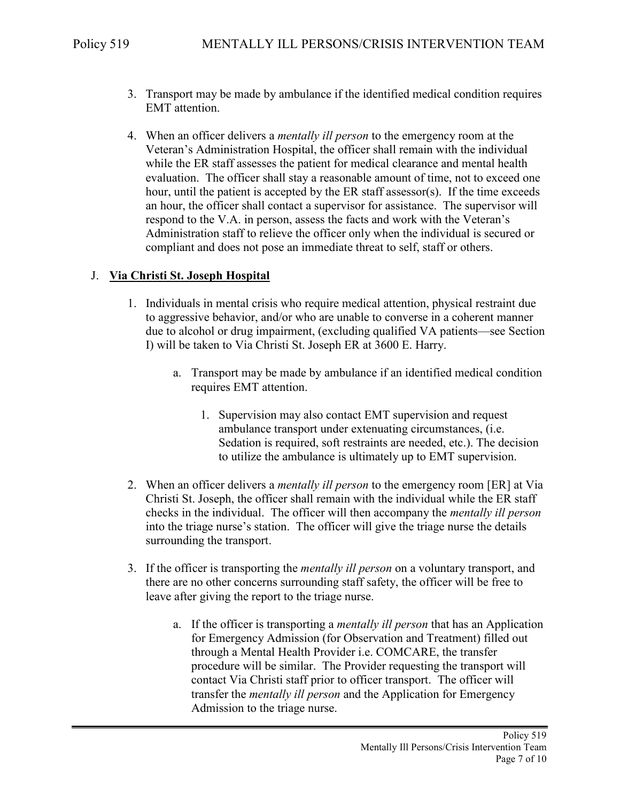- 3. Transport may be made by ambulance if the identified medical condition requires EMT attention.
- 4. When an officer delivers a *mentally ill person* to the emergency room at the Veteran's Administration Hospital, the officer shall remain with the individual while the ER staff assesses the patient for medical clearance and mental health evaluation. The officer shall stay a reasonable amount of time, not to exceed one hour, until the patient is accepted by the ER staff assessor(s). If the time exceeds an hour, the officer shall contact a supervisor for assistance. The supervisor will respond to the V.A. in person, assess the facts and work with the Veteran's Administration staff to relieve the officer only when the individual is secured or compliant and does not pose an immediate threat to self, staff or others.

## J. **Via Christi St. Joseph Hospital**

- 1. Individuals in mental crisis who require medical attention, physical restraint due to aggressive behavior, and/or who are unable to converse in a coherent manner due to alcohol or drug impairment, (excluding qualified VA patients—see Section I) will be taken to Via Christi St. Joseph ER at 3600 E. Harry.
	- a. Transport may be made by ambulance if an identified medical condition requires EMT attention.
		- 1. Supervision may also contact EMT supervision and request ambulance transport under extenuating circumstances, (i.e. Sedation is required, soft restraints are needed, etc.). The decision to utilize the ambulance is ultimately up to EMT supervision.
- 2. When an officer delivers a *mentally ill person* to the emergency room [ER] at Via Christi St. Joseph, the officer shall remain with the individual while the ER staff checks in the individual. The officer will then accompany the *mentally ill person* into the triage nurse's station. The officer will give the triage nurse the details surrounding the transport.
- 3. If the officer is transporting the *mentally ill person* on a voluntary transport, and there are no other concerns surrounding staff safety, the officer will be free to leave after giving the report to the triage nurse.
	- a. If the officer is transporting a *mentally ill person* that has an Application for Emergency Admission (for Observation and Treatment) filled out through a Mental Health Provider i.e. COMCARE, the transfer procedure will be similar. The Provider requesting the transport will contact Via Christi staff prior to officer transport. The officer will transfer the *mentally ill person* and the Application for Emergency Admission to the triage nurse.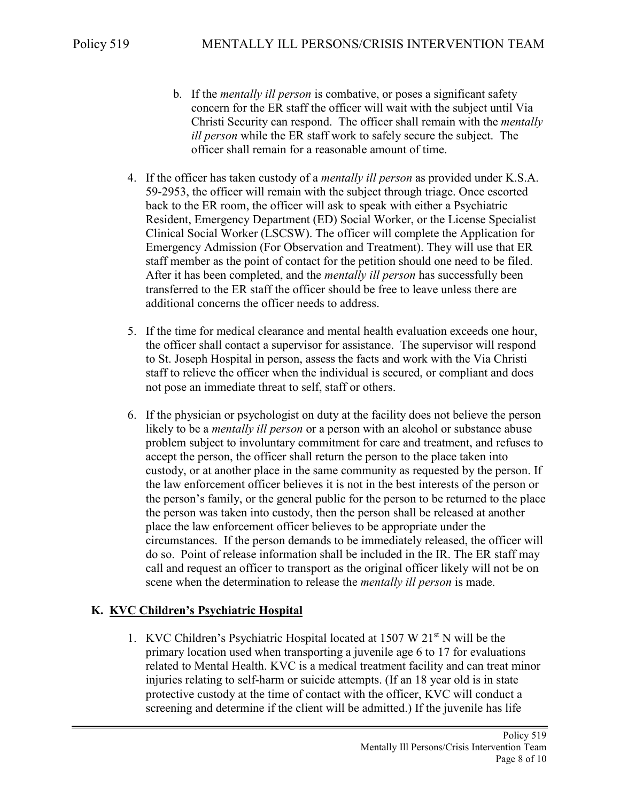- b. If the *mentally ill person* is combative, or poses a significant safety concern for the ER staff the officer will wait with the subject until Via Christi Security can respond. The officer shall remain with the *mentally ill person* while the ER staff work to safely secure the subject. The officer shall remain for a reasonable amount of time.
- 4. If the officer has taken custody of a *mentally ill person* as provided under K.S.A. 59-2953, the officer will remain with the subject through triage. Once escorted back to the ER room, the officer will ask to speak with either a Psychiatric Resident, Emergency Department (ED) Social Worker, or the License Specialist Clinical Social Worker (LSCSW). The officer will complete the Application for Emergency Admission (For Observation and Treatment). They will use that ER staff member as the point of contact for the petition should one need to be filed. After it has been completed, and the *mentally ill person* has successfully been transferred to the ER staff the officer should be free to leave unless there are additional concerns the officer needs to address.
- 5. If the time for medical clearance and mental health evaluation exceeds one hour, the officer shall contact a supervisor for assistance. The supervisor will respond to St. Joseph Hospital in person, assess the facts and work with the Via Christi staff to relieve the officer when the individual is secured, or compliant and does not pose an immediate threat to self, staff or others.
- 6. If the physician or psychologist on duty at the facility does not believe the person likely to be a *mentally ill person* or a person with an alcohol or substance abuse problem subject to involuntary commitment for care and treatment, and refuses to accept the person, the officer shall return the person to the place taken into custody, or at another place in the same community as requested by the person. If the law enforcement officer believes it is not in the best interests of the person or the person's family, or the general public for the person to be returned to the place the person was taken into custody, then the person shall be released at another place the law enforcement officer believes to be appropriate under the circumstances. If the person demands to be immediately released, the officer will do so. Point of release information shall be included in the IR. The ER staff may call and request an officer to transport as the original officer likely will not be on scene when the determination to release the *mentally ill person* is made.

## **K. KVC Children's Psychiatric Hospital**

1. KVC Children's Psychiatric Hospital located at 1507 W 21<sup>st</sup> N will be the primary location used when transporting a juvenile age 6 to 17 for evaluations related to Mental Health. KVC is a medical treatment facility and can treat minor injuries relating to self-harm or suicide attempts. (If an 18 year old is in state protective custody at the time of contact with the officer, KVC will conduct a screening and determine if the client will be admitted.) If the juvenile has life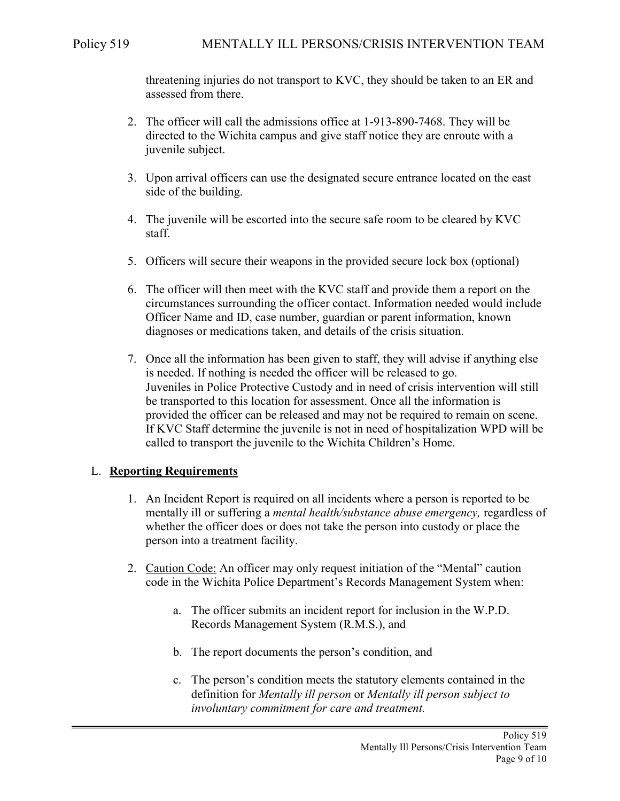threatening injuries do not transport to KVC, they should be taken to an ER and assessed from there.

- 2. The officer will call the admissions office at 1-913-890-7468. They will be directed to the Wichita campus and give staff notice they are enroute with a juvenile subject.
- 3. Upon arrival officers can use the designated secure entrance located on the east side of the building.
- 4. The juvenile will be escorted into the secure safe room to be cleared by KVC staff.
- 5. Officers will secure their weapons in the provided secure lock box (optional)
- 6. The officer will then meet with the KVC staff and provide them a report on the circumstances surrounding the officer contact. Information needed would include Officer Name and ID, case number, guardian or parent information, known diagnoses or medications taken, and details of the crisis situation.
- 7. Once all the information has been given to staff, they will advise if anything else is needed. If nothing is needed the officer will be released to go. Juveniles in Police Protective Custody and in need of crisis intervention will still be transported to this location for assessment. Once all the information is provided the officer can be released and may not be required to remain on scene. If KVC Staff determine the juvenile is not in need of hospitalization WPD will be called to transport the juvenile to the Wichita Children's Home.

## L. **Reporting Requirements**

- 1. An Incident Report is required on all incidents where a person is reported to be mentally ill or suffering a *mental health/substance abuse emergency,* regardless of whether the officer does or does not take the person into custody or place the person into a treatment facility.
- 2. Caution Code: An officer may only request initiation of the "Mental" caution code in the Wichita Police Department's Records Management System when:
	- a. The officer submits an incident report for inclusion in the W.P.D. Records Management System (R.M.S.), and
	- b. The report documents the person's condition, and
	- c. The person's condition meets the statutory elements contained in the definition for *Mentally ill person* or *Mentally ill person subject to involuntary commitment for care and treatment.*